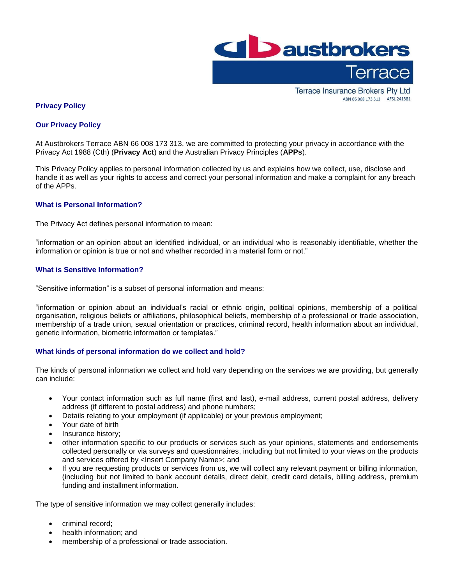

**Terrace Insurance Brokers Pty Ltd** ABN 66 008 173 313 AFSL 241381

# **Privacy Policy**

### **Our Privacy Policy**

At Austbrokers Terrace ABN 66 008 173 313, we are committed to protecting your privacy in accordance with the Privacy Act 1988 (Cth) (**Privacy Act**) and the Australian Privacy Principles (**APPs**).

This Privacy Policy applies to personal information collected by us and explains how we collect, use, disclose and handle it as well as your rights to access and correct your personal information and make a complaint for any breach of the APPs.

## **What is Personal Information?**

The Privacy Act defines personal information to mean:

"information or an opinion about an identified individual, or an individual who is reasonably identifiable, whether the information or opinion is true or not and whether recorded in a material form or not."

## **What is Sensitive Information?**

"Sensitive information" is a subset of personal information and means:

"information or opinion about an individual's racial or ethnic origin, political opinions, membership of a political organisation, religious beliefs or affiliations, philosophical beliefs, membership of a professional or trade association, membership of a trade union, sexual orientation or practices, criminal record, health information about an individual, genetic information, biometric information or templates."

### **What kinds of personal information do we collect and hold?**

The kinds of personal information we collect and hold vary depending on the services we are providing, but generally can include:

- Your contact information such as full name (first and last), e-mail address, current postal address, delivery address (if different to postal address) and phone numbers;
- Details relating to your employment (if applicable) or your previous employment;
- Your date of birth
- Insurance history;
- other information specific to our products or services such as your opinions, statements and endorsements collected personally or via surveys and questionnaires, including but not limited to your views on the products and services offered by <Insert Company Name>; and
- If you are requesting products or services from us, we will collect any relevant payment or billing information, (including but not limited to bank account details, direct debit, credit card details, billing address, premium funding and installment information.

The type of sensitive information we may collect generally includes:

- criminal record;
- health information; and
- membership of a professional or trade association.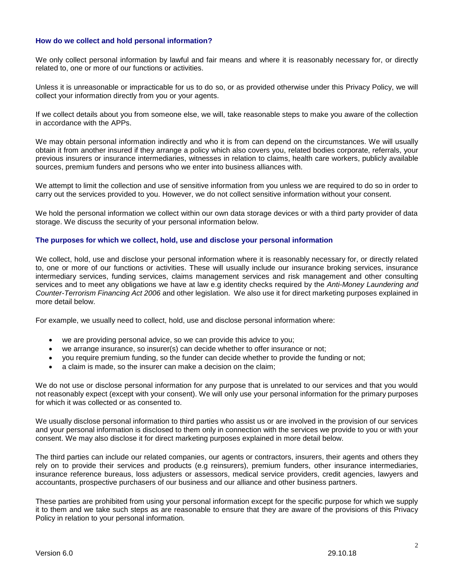## **How do we collect and hold personal information?**

We only collect personal information by lawful and fair means and where it is reasonably necessary for, or directly related to, one or more of our functions or activities.

Unless it is unreasonable or impracticable for us to do so, or as provided otherwise under this Privacy Policy, we will collect your information directly from you or your agents.

If we collect details about you from someone else, we will, take reasonable steps to make you aware of the collection in accordance with the APPs.

We may obtain personal information indirectly and who it is from can depend on the circumstances. We will usually obtain it from another insured if they arrange a policy which also covers you, related bodies corporate, referrals, your previous insurers or insurance intermediaries, witnesses in relation to claims, health care workers, publicly available sources, premium funders and persons who we enter into business alliances with.

We attempt to limit the collection and use of sensitive information from you unless we are required to do so in order to carry out the services provided to you. However, we do not collect sensitive information without your consent.

We hold the personal information we collect within our own data storage devices or with a third party provider of data storage. We discuss the security of your personal information below.

#### **The purposes for which we collect, hold, use and disclose your personal information**

We collect, hold, use and disclose your personal information where it is reasonably necessary for, or directly related to, one or more of our functions or activities. These will usually include our insurance broking services, insurance intermediary services, funding services, claims management services and risk management and other consulting services and to meet any obligations we have at law e.g identity checks required by the *Anti-Money Laundering and Counter-Terrorism Financing Act 2006* and other legislation. We also use it for direct marketing purposes explained in more detail below.

For example, we usually need to collect, hold, use and disclose personal information where:

- we are providing personal advice, so we can provide this advice to you;
- we arrange insurance, so insurer(s) can decide whether to offer insurance or not;
- you require premium funding, so the funder can decide whether to provide the funding or not;
- a claim is made, so the insurer can make a decision on the claim;

We do not use or disclose personal information for any purpose that is unrelated to our services and that you would not reasonably expect (except with your consent). We will only use your personal information for the primary purposes for which it was collected or as consented to.

We usually disclose personal information to third parties who assist us or are involved in the provision of our services and your personal information is disclosed to them only in connection with the services we provide to you or with your consent. We may also disclose it for direct marketing purposes explained in more detail below.

The third parties can include our related companies, our agents or contractors, insurers, their agents and others they rely on to provide their services and products (e.g reinsurers), premium funders, other insurance intermediaries, insurance reference bureaus, loss adjusters or assessors, medical service providers, credit agencies, lawyers and accountants, prospective purchasers of our business and our alliance and other business partners.

These parties are prohibited from using your personal information except for the specific purpose for which we supply it to them and we take such steps as are reasonable to ensure that they are aware of the provisions of this Privacy Policy in relation to your personal information.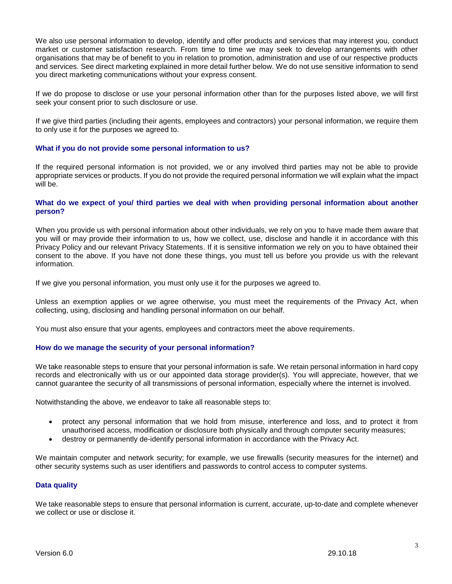We also use personal information to develop, identify and offer products and services that may interest you, conduct market or customer satisfaction research. From time to time we may seek to develop arrangements with other organisations that may be of benefit to you in relation to promotion, administration and use of our respective products and services. See direct marketing explained in more detail further below. We do not use sensitive information to send you direct marketing communications without your express consent.

If we do propose to disclose or use your personal information other than for the purposes listed above, we will first seek your consent prior to such disclosure or use.

If we give third parties (including their agents, employees and contractors) your personal information, we require them to only use it for the purposes we agreed to.

### **What if you do not provide some personal information to us?**

If the required personal information is not provided, we or any involved third parties may not be able to provide appropriate services or products. If you do not provide the required personal information we will explain what the impact will be.

#### **What do we expect of you/ third parties we deal with when providing personal information about another person?**

When you provide us with personal information about other individuals, we rely on you to have made them aware that you will or may provide their information to us, how we collect, use, disclose and handle it in accordance with this Privacy Policy and our relevant Privacy Statements. If it is sensitive information we rely on you to have obtained their consent to the above. If you have not done these things, you must tell us before you provide us with the relevant information.

If we give you personal information, you must only use it for the purposes we agreed to.

Unless an exemption applies or we agree otherwise, you must meet the requirements of the Privacy Act, when collecting, using, disclosing and handling personal information on our behalf.

You must also ensure that your agents, employees and contractors meet the above requirements.

### **How do we manage the security of your personal information?**

We take reasonable steps to ensure that your personal information is safe. We retain personal information in hard copy records and electronically with us or our appointed data storage provider(s). You will appreciate, however, that we cannot guarantee the security of all transmissions of personal information, especially where the internet is involved.

Notwithstanding the above, we endeavor to take all reasonable steps to:

- protect any personal information that we hold from misuse, interference and loss, and to protect it from unauthorised access, modification or disclosure both physically and through computer security measures;
- destroy or permanently de-identify personal information in accordance with the Privacy Act.

We maintain computer and network security; for example, we use firewalls (security measures for the internet) and other security systems such as user identifiers and passwords to control access to computer systems.

### **Data quality**

We take reasonable steps to ensure that personal information is current, accurate, up-to-date and complete whenever we collect or use or disclose it.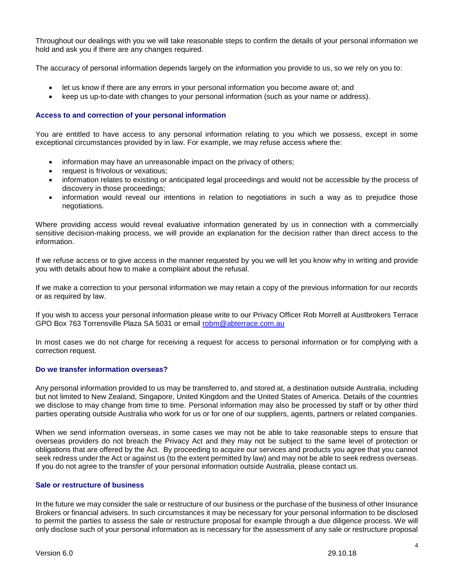Throughout our dealings with you we will take reasonable steps to confirm the details of your personal information we hold and ask you if there are any changes required.

The accuracy of personal information depends largely on the information you provide to us, so we rely on you to:

- let us know if there are any errors in your personal information you become aware of; and
- keep us up-to-date with changes to your personal information (such as your name or address).

### **Access to and correction of your personal information**

You are entitled to have access to any personal information relating to you which we possess, except in some exceptional circumstances provided by in law. For example, we may refuse access where the:

- information may have an unreasonable impact on the privacy of others;
- request is frivolous or vexatious;
- information relates to existing or anticipated legal proceedings and would not be accessible by the process of discovery in those proceedings;
- information would reveal our intentions in relation to negotiations in such a way as to prejudice those negotiations.

Where providing access would reveal evaluative information generated by us in connection with a commercially sensitive decision-making process, we will provide an explanation for the decision rather than direct access to the information.

If we refuse access or to give access in the manner requested by you we will let you know why in writing and provide you with details about how to make a complaint about the refusal.

If we make a correction to your personal information we may retain a copy of the previous information for our records or as required by law.

If you wish to access your personal information please write to our Privacy Officer Rob Morrell at Austbrokers Terrace GPO Box 763 Torrensville Plaza SA 5031 or email [robm@abterrace.com.au](mailto:robm@abterrace.com.au)

In most cases we do not charge for receiving a request for access to personal information or for complying with a correction request.

### **Do we transfer information overseas?**

Any personal information provided to us may be transferred to, and stored at, a destination outside Australia, including but not limited to New Zealand, Singapore, United Kingdom and the United States of America. Details of the countries we disclose to may change from time to time. Personal information may also be processed by staff or by other third parties operating outside Australia who work for us or for one of our suppliers, agents, partners or related companies.

When we send information overseas, in some cases we may not be able to take reasonable steps to ensure that overseas providers do not breach the Privacy Act and they may not be subject to the same level of protection or obligations that are offered by the Act. By proceeding to acquire our services and products you agree that you cannot seek redress under the Act or against us (to the extent permitted by law) and may not be able to seek redress overseas. If you do not agree to the transfer of your personal information outside Australia, please contact us.

## **Sale or restructure of business**

In the future we may consider the sale or restructure of our business or the purchase of the business of other Insurance Brokers or financial advisers. In such circumstances it may be necessary for your personal information to be disclosed to permit the parties to assess the sale or restructure proposal for example through a due diligence process. We will only disclose such of your personal information as is necessary for the assessment of any sale or restructure proposal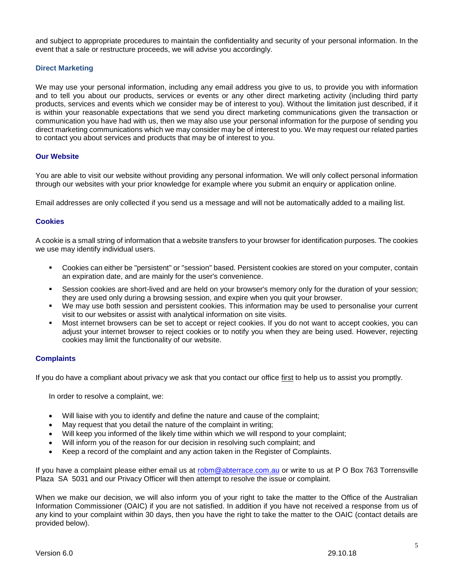and subject to appropriate procedures to maintain the confidentiality and security of your personal information. In the event that a sale or restructure proceeds, we will advise you accordingly.

## **Direct Marketing**

We may use your personal information, including any email address you give to us, to provide you with information and to tell you about our products, services or events or any other direct marketing activity (including third party products, services and events which we consider may be of interest to you). Without the limitation just described, if it is within your reasonable expectations that we send you direct marketing communications given the transaction or communication you have had with us, then we may also use your personal information for the purpose of sending you direct marketing communications which we may consider may be of interest to you. We may request our related parties to contact you about services and products that may be of interest to you.

### **Our Website**

You are able to visit our website without providing any personal information. We will only collect personal information through our websites with your prior knowledge for example where you submit an enquiry or application online.

Email addresses are only collected if you send us a message and will not be automatically added to a mailing list.

### **Cookies**

A cookie is a small string of information that a website transfers to your browser for identification purposes. The cookies we use may identify individual users.

- Cookies can either be "persistent" or "session" based. Persistent cookies are stored on your computer, contain an expiration date, and are mainly for the user's convenience.
- Session cookies are short-lived and are held on your browser's memory only for the duration of your session; they are used only during a browsing session, and expire when you quit your browser.
- We may use both session and persistent cookies. This information may be used to personalise your current visit to our websites or assist with analytical information on site visits.
- Most internet browsers can be set to accept or reject cookies. If you do not want to accept cookies, you can adjust your internet browser to reject cookies or to notify you when they are being used. However, rejecting cookies may limit the functionality of our website.

### **Complaints**

If you do have a compliant about privacy we ask that you contact our office first to help us to assist you promptly.

In order to resolve a complaint, we:

- Will liaise with you to identify and define the nature and cause of the complaint;
- May request that you detail the nature of the complaint in writing;
- Will keep you informed of the likely time within which we will respond to your complaint;
- Will inform you of the reason for our decision in resolving such complaint; and
- Keep a record of the complaint and any action taken in the Register of Complaints.

If you have a complaint please either email us at [robm@abterrace.com.au](mailto:robm@abterrace.com.au) or write to us at P O Box 763 Torrensville Plaza SA 5031 and our Privacy Officer will then attempt to resolve the issue or complaint.

When we make our decision, we will also inform you of your right to take the matter to the Office of the Australian Information Commissioner (OAIC) if you are not satisfied. In addition if you have not received a response from us of any kind to your complaint within 30 days, then you have the right to take the matter to the OAIC (contact details are provided below).